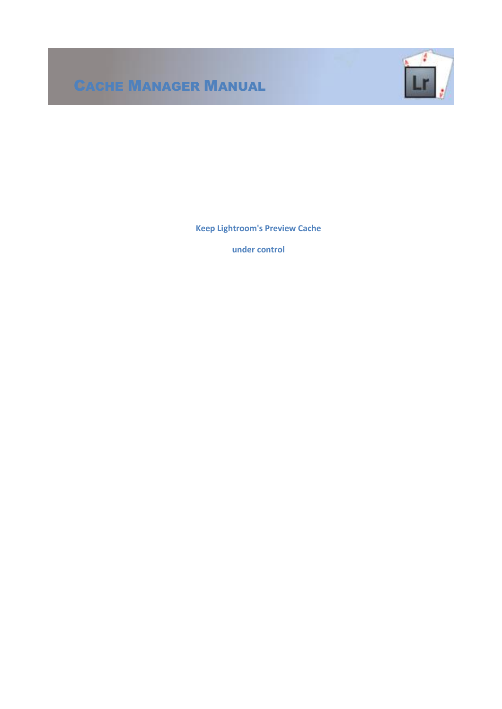# CACHE MANAGER MANUAL



**Keep Lightroom's Preview Cache**

**under control**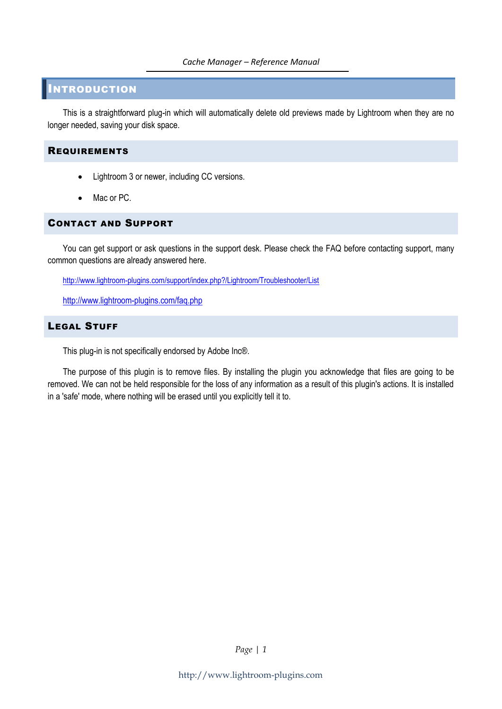#### *Cache Manager – Reference Manual*

# INTRODUCTION

This is a straightforward plug-in which will automatically delete old previews made by Lightroom when they are no longer needed, saving your disk space.

# REQUIREMENTS

- Lightroom 3 or newer, including CC versions.
- Mac or PC.

# CONTACT AND SUPPORT

You can get support or ask questions in the support desk. Please check the FAQ before contacting support, many common questions are already answered here.

<http://www.lightroom-plugins.com/support/index.php?/Lightroom/Troubleshooter/List>

<http://www.lightroom-plugins.com/faq.php>

# LEGAL STUFF

This plug-in is not specifically endorsed by Adobe Inc®.

The purpose of this plugin is to remove files. By installing the plugin you acknowledge that files are going to be removed. We can not be held responsible for the loss of any information as a result of this plugin's actions. It is installed in a 'safe' mode, where nothing will be erased until you explicitly tell it to.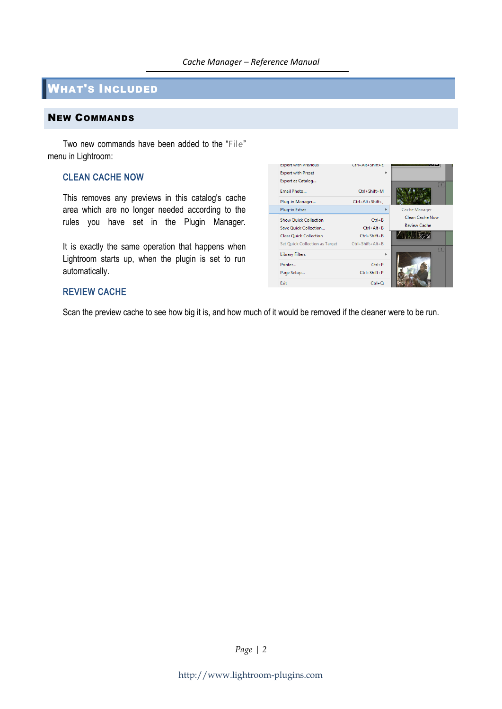# WHAT'S INCLUDED

# NEW COMMANDS

Two new commands have been added to the "File" menu in Lightroom:

#### CLEAN CACHE NOW

This removes any previews in this catalog's cache area which are no longer needed according to the rules you have set in the Plugin Manager.

It is exactly the same operation that happens when Lightroom starts up, when the plugin is set to run automatically.

# REVIEW CACHE

Scan the preview cache to see how big it is, and how much of it would be removed if the cleaner were to be run.

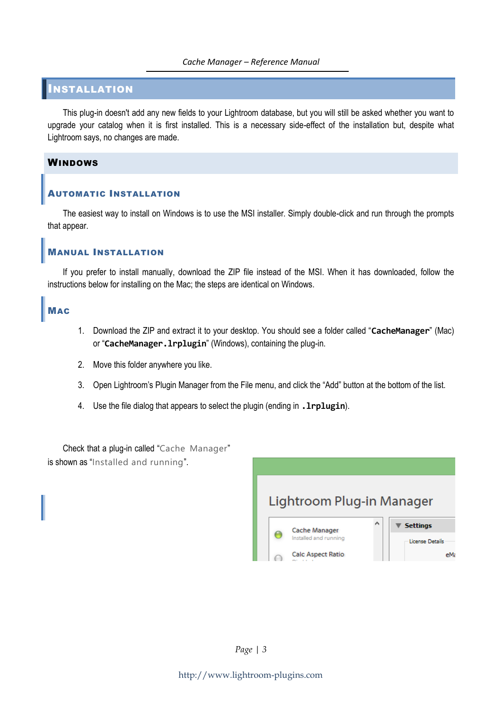#### *Cache Manager – Reference Manual*

# INSTALLATION

This plug-in doesn't add any new fields to your Lightroom database, but you will still be asked whether you want to upgrade your catalog when it is first installed. This is a necessary side-effect of the installation but, despite what Lightroom says, no changes are made.

#### WINDOWS

#### AUTOMATIC INSTALLATION

The easiest way to install on Windows is to use the MSI installer. Simply double-click and run through the prompts that appear.

#### MANUAL INSTALLATION

If you prefer to install manually, download the ZIP file instead of the MSI. When it has downloaded, follow the instructions below for installing on the Mac; the steps are identical on Windows.

#### **MAC**

- 1. Download the ZIP and extract it to your desktop. You should see a folder called "**CacheManager**" (Mac) or "**CacheManager.lrplugin**" (Windows), containing the plug-in.
- 2. Move this folder anywhere you like.
- 3. Open Lightroom's Plugin Manager from the File menu, and click the "Add" button at the bottom of the list.
- 4. Use the file dialog that appears to select the plugin (ending in **.lrplugin**).

Check that a plug-in called "Cache Manager" is shown as "Installed and running".

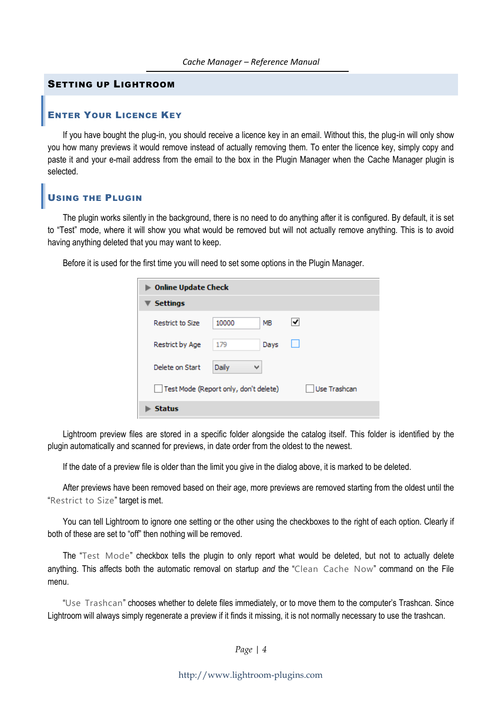#### SETTING UP LIGHTROOM

#### ENTER YOUR LICENCE KEY

If you have bought the plug-in, you should receive a licence key in an email. Without this, the plug-in will only show you how many previews it would remove instead of actually removing them. To enter the licence key, simply copy and paste it and your e-mail address from the email to the box in the Plugin Manager when the Cache Manager plugin is selected.

# USING THE PLUGIN

The plugin works silently in the background, there is no need to do anything after it is configured. By default, it is set to "Test" mode, where it will show you what would be removed but will not actually remove anything. This is to avoid having anything deleted that you may want to keep.

Before it is used for the first time you will need to set some options in the Plugin Manager.

| <b>Online Update Check</b>            |       |      |              |  |  |
|---------------------------------------|-------|------|--------------|--|--|
| <b>Settings</b>                       |       |      |              |  |  |
| <b>Restrict to Size</b>               | 10000 | MB   | ◡            |  |  |
| Restrict by Age                       | 179   | Days |              |  |  |
| Delete on Start                       | Daily | v    |              |  |  |
| Test Mode (Report only, don't delete) |       |      | Use Trashcan |  |  |
| <b>Status</b>                         |       |      |              |  |  |

Lightroom preview files are stored in a specific folder alongside the catalog itself. This folder is identified by the plugin automatically and scanned for previews, in date order from the oldest to the newest.

If the date of a preview file is older than the limit you give in the dialog above, it is marked to be deleted.

After previews have been removed based on their age, more previews are removed starting from the oldest until the "Restrict to Size" target is met.

You can tell Lightroom to ignore one setting or the other using the checkboxes to the right of each option. Clearly if both of these are set to "off" then nothing will be removed.

The "Test Mode" checkbox tells the plugin to only report what would be deleted, but not to actually delete anything. This affects both the automatic removal on startup *and* the "Clean Cache Now" command on the File menu.

"Use Trashcan" chooses whether to delete files immediately, or to move them to the computer's Trashcan. Since Lightroom will always simply regenerate a preview if it finds it missing, it is not normally necessary to use the trashcan.